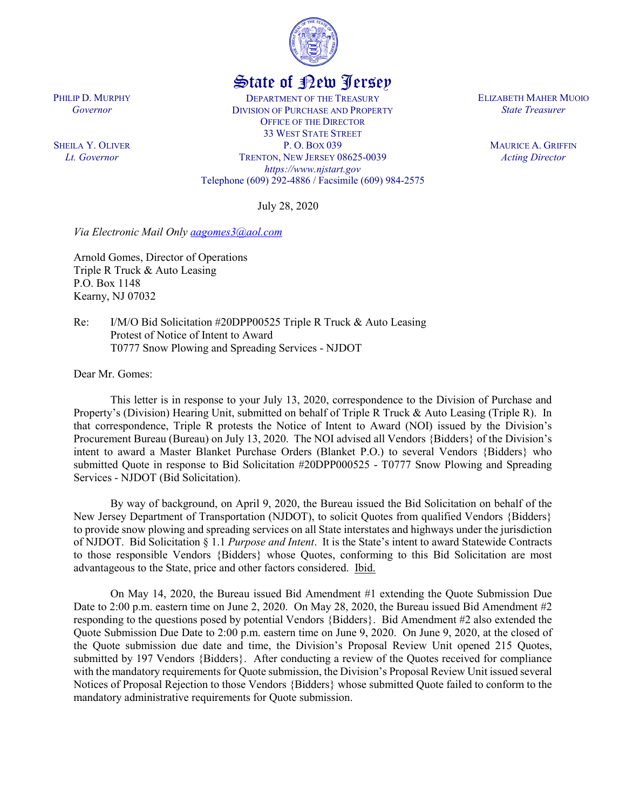

## State of New Jersey

DEPARTMENT OF THE TREASURY DIVISION OF PURCHASE AND PROPERTY OFFICE OF THE DIRECTOR 33 WEST STATE STREET P. O. BOX 039 TRENTON, NEW JERSEY 08625-0039 *https://www.njstart.gov* Telephone (609) 292-4886 / Facsimile (609) 984-2575

July 28, 2020

*Via Electronic Mail Only [aagomes3@aol.com](mailto:aagomes3@aol.com)*

Arnold Gomes, Director of Operations Triple R Truck & Auto Leasing P.O. Box 1148 Kearny, NJ 07032

Re: I/M/O Bid Solicitation #20DPP00525 Triple R Truck & Auto Leasing Protest of Notice of Intent to Award T0777 Snow Plowing and Spreading Services - NJDOT

Dear Mr. Gomes:

PHILIP D. MURPHY *Governor*

SHEILA Y. OLIVER *Lt. Governor*

> This letter is in response to your July 13, 2020, correspondence to the Division of Purchase and Property's (Division) Hearing Unit, submitted on behalf of Triple R Truck & Auto Leasing (Triple R). In that correspondence, Triple R protests the Notice of Intent to Award (NOI) issued by the Division's Procurement Bureau (Bureau) on July 13, 2020. The NOI advised all Vendors {Bidders} of the Division's intent to award a Master Blanket Purchase Orders (Blanket P.O.) to several Vendors {Bidders} who submitted Quote in response to Bid Solicitation #20DPP000525 - T0777 Snow Plowing and Spreading Services - NJDOT (Bid Solicitation).

> By way of background, on April 9, 2020, the Bureau issued the Bid Solicitation on behalf of the New Jersey Department of Transportation (NJDOT), to solicit Quotes from qualified Vendors {Bidders} to provide snow plowing and spreading services on all State interstates and highways under the jurisdiction of NJDOT. Bid Solicitation § 1.1 *Purpose and Intent*. It is the State's intent to award Statewide Contracts to those responsible Vendors {Bidders} whose Quotes, conforming to this Bid Solicitation are most advantageous to the State, price and other factors considered. Ibid.

> On May 14, 2020, the Bureau issued Bid Amendment #1 extending the Quote Submission Due Date to 2:00 p.m. eastern time on June 2, 2020. On May 28, 2020, the Bureau issued Bid Amendment #2 responding to the questions posed by potential Vendors {Bidders}. Bid Amendment #2 also extended the Quote Submission Due Date to 2:00 p.m. eastern time on June 9, 2020. On June 9, 2020, at the closed of the Quote submission due date and time, the Division's Proposal Review Unit opened 215 Quotes, submitted by 197 Vendors {Bidders}. After conducting a review of the Quotes received for compliance with the mandatory requirements for Quote submission, the Division's Proposal Review Unit issued several Notices of Proposal Rejection to those Vendors {Bidders} whose submitted Quote failed to conform to the mandatory administrative requirements for Quote submission.

ELIZABETH MAHER MUOIO *State Treasurer*

> MAURICE A. GRIFFIN *Acting Director*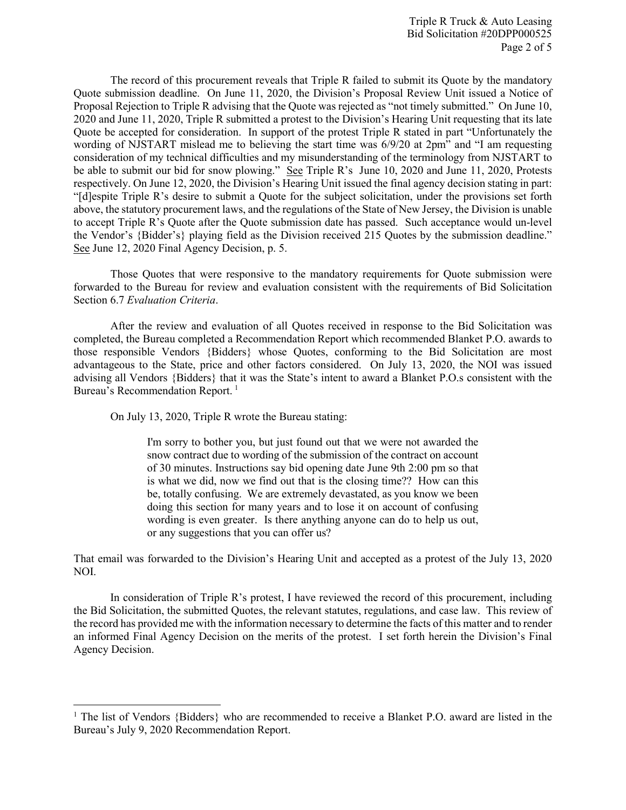The record of this procurement reveals that Triple R failed to submit its Quote by the mandatory Quote submission deadline. On June 11, 2020, the Division's Proposal Review Unit issued a Notice of Proposal Rejection to Triple R advising that the Quote was rejected as "not timely submitted." On June 10, 2020 and June 11, 2020, Triple R submitted a protest to the Division's Hearing Unit requesting that its late Quote be accepted for consideration. In support of the protest Triple R stated in part "Unfortunately the wording of NJSTART mislead me to believing the start time was 6/9/20 at 2pm" and "I am requesting consideration of my technical difficulties and my misunderstanding of the terminology from NJSTART to be able to submit our bid for snow plowing." See Triple R's June 10, 2020 and June 11, 2020, Protests respectively. On June 12, 2020, the Division's Hearing Unit issued the final agency decision stating in part: "[d]espite Triple R's desire to submit a Quote for the subject solicitation, under the provisions set forth above, the statutory procurement laws, and the regulations of the State of New Jersey, the Division is unable to accept Triple R's Quote after the Quote submission date has passed. Such acceptance would un-level the Vendor's {Bidder's} playing field as the Division received 215 Quotes by the submission deadline." See June 12, 2020 Final Agency Decision, p. 5.

Those Quotes that were responsive to the mandatory requirements for Quote submission were forwarded to the Bureau for review and evaluation consistent with the requirements of Bid Solicitation Section 6.7 *Evaluation Criteria*.

After the review and evaluation of all Quotes received in response to the Bid Solicitation was completed, the Bureau completed a Recommendation Report which recommended Blanket P.O. awards to those responsible Vendors {Bidders} whose Quotes, conforming to the Bid Solicitation are most advantageous to the State, price and other factors considered. On July 13, 2020, the NOI was issued advising all Vendors {Bidders} that it was the State's intent to award a Blanket P.O.s consistent with the Bureau's Recommendation Report.<sup>[1](#page-1-0)</sup>

On July 13, 2020, Triple R wrote the Bureau stating:

l

I'm sorry to bother you, but just found out that we were not awarded the snow contract due to wording of the submission of the contract on account of 30 minutes. Instructions say bid opening date June 9th 2:00 pm so that is what we did, now we find out that is the closing time?? How can this be, totally confusing. We are extremely devastated, as you know we been doing this section for many years and to lose it on account of confusing wording is even greater. Is there anything anyone can do to help us out, or any suggestions that you can offer us?

That email was forwarded to the Division's Hearing Unit and accepted as a protest of the July 13, 2020 NOI.

In consideration of Triple R's protest, I have reviewed the record of this procurement, including the Bid Solicitation, the submitted Quotes, the relevant statutes, regulations, and case law. This review of the record has provided me with the information necessary to determine the facts of this matter and to render an informed Final Agency Decision on the merits of the protest. I set forth herein the Division's Final Agency Decision.

<span id="page-1-0"></span><sup>&</sup>lt;sup>1</sup> The list of Vendors {Bidders} who are recommended to receive a Blanket P.O. award are listed in the Bureau's July 9, 2020 Recommendation Report.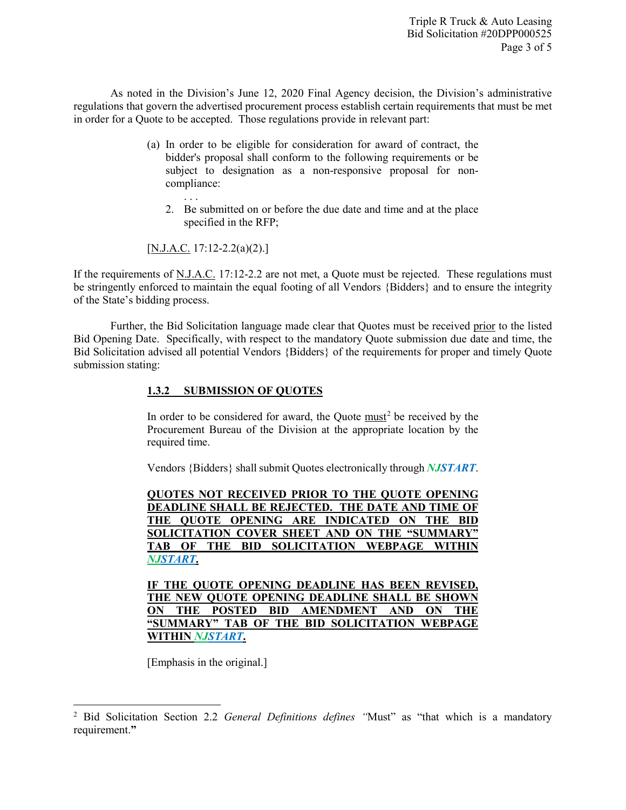As noted in the Division's June 12, 2020 Final Agency decision, the Division's administrative regulations that govern the advertised procurement process establish certain requirements that must be met in order for a Quote to be accepted. Those regulations provide in relevant part:

- (a) In order to be eligible for consideration for award of contract, the bidder's proposal shall conform to the following requirements or be subject to designation as a non-responsive proposal for noncompliance:
	- 2. Be submitted on or before the due date and time and at the place specified in the RFP;

[N.J.A.C. 17:12-2.2(a)(2).]

. . .

If the requirements of N.J.A.C. 17:12-2.2 are not met, a Quote must be rejected. These regulations must be stringently enforced to maintain the equal footing of all Vendors {Bidders} and to ensure the integrity of the State's bidding process.

Further, the Bid Solicitation language made clear that Quotes must be received prior to the listed Bid Opening Date. Specifically, with respect to the mandatory Quote submission due date and time, the Bid Solicitation advised all potential Vendors {Bidders} of the requirements for proper and timely Quote submission stating:

## **1.3.2 SUBMISSION OF QUOTES**

In order to be considered for award, the Quote  $\frac{must^2}{}$  $\frac{must^2}{}$  $\frac{must^2}{}$  be received by the Procurement Bureau of the Division at the appropriate location by the required time.

Vendors {Bidders} shall submit Quotes electronically through *NJSTART*.

**QUOTES NOT RECEIVED PRIOR TO THE QUOTE OPENING DEADLINE SHALL BE REJECTED. THE DATE AND TIME OF THE QUOTE OPENING ARE INDICATED ON THE BID SOLICITATION COVER SHEET AND ON THE "SUMMARY" TAB OF THE BID SOLICITATION WEBPAGE WITHIN**  *NJSTART***.** 

**IF THE QUOTE OPENING DEADLINE HAS BEEN REVISED, THE NEW QUOTE OPENING DEADLINE SHALL BE SHOWN ON THE POSTED BID AMENDMENT AND ON THE "SUMMARY" TAB OF THE BID SOLICITATION WEBPAGE WITHIN** *NJSTART***.** 

[Emphasis in the original.]

l

<span id="page-2-0"></span><sup>2</sup> Bid Solicitation Section 2.2 *General Definitions defines "*Must" as "that which is a mandatory requirement.**"**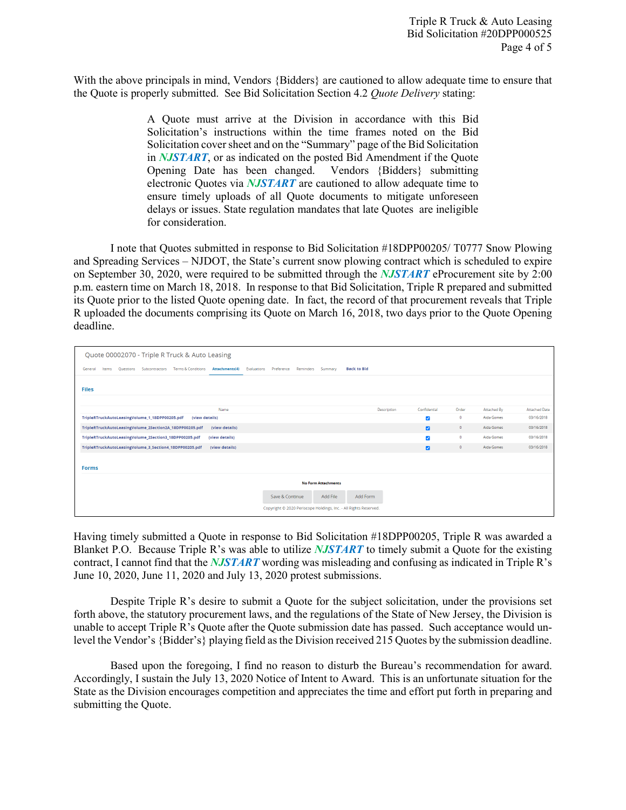With the above principals in mind, Vendors {Bidders} are cautioned to allow adequate time to ensure that the Quote is properly submitted. See Bid Solicitation Section 4.2 *Quote Delivery* stating:

> A Quote must arrive at the Division in accordance with this Bid Solicitation's instructions within the time frames noted on the Bid Solicitation cover sheet and on the "Summary" page of the Bid Solicitation in *NJSTART*, or as indicated on the posted Bid Amendment if the Quote Opening Date has been changed. Vendors {Bidders} submitting electronic Quotes via *NJSTART* are cautioned to allow adequate time to ensure timely uploads of all Quote documents to mitigate unforeseen delays or issues. State regulation mandates that late Quotes are ineligible for consideration.

I note that Quotes submitted in response to Bid Solicitation #18DPP00205/ T0777 Snow Plowing and Spreading Services – NJDOT, the State's current snow plowing contract which is scheduled to expire on September 30, 2020, were required to be submitted through the *NJSTART* eProcurement site by 2:00 p.m. eastern time on March 18, 2018. In response to that Bid Solicitation, Triple R prepared and submitted its Quote prior to the listed Quote opening date. In fact, the record of that procurement reveals that Triple R uploaded the documents comprising its Quote on March 16, 2018, two days prior to the Quote Opening deadline.

| Quote 00002070 - Triple R Truck & Auto Leasing                                                            |                                        |                               |                         |           |             |                      |
|-----------------------------------------------------------------------------------------------------------|----------------------------------------|-------------------------------|-------------------------|-----------|-------------|----------------------|
| Subcontractors<br><b>Terms &amp; Conditions</b><br>Attachments(4)<br><b>Ouestions</b><br>Items<br>General | Evaluations<br>Preference<br>Reminders | <b>Back to Bid</b><br>Summary |                         |           |             |                      |
| <b>Files</b>                                                                                              |                                        |                               |                         |           |             |                      |
|                                                                                                           |                                        |                               |                         |           |             |                      |
| Name                                                                                                      |                                        | Description                   | Confidential            | Order     | Attached By | <b>Attached Date</b> |
| TripleRTruckAutoLeasingVolume_1_18DPP00205.pdf<br>(view details)                                          |                                        |                               | ✓                       | $\bullet$ | Aida Gomes  | 03/16/2018           |
| TripleRTruckAutoLeasingVolume_2Section2A_18DPP00205.pdf<br>(view details)                                 |                                        |                               | ø                       | $\bullet$ | Aida Gomes  | 03/16/2018           |
| TripleRTruckAutoLeasingVolume_2Section3_18DPP00205.pdf<br>(view details)                                  |                                        |                               | $\overline{\mathbf{v}}$ | $\bullet$ | Aida Gomes  | 03/16/2018           |
| TripleRTruckAutoLeasingVolume_3_Section4_18DPP00205.pdf<br>(view details)                                 |                                        |                               | ø                       | $\bullet$ | Aida Gomes  | 03/16/2018           |
|                                                                                                           |                                        |                               |                         |           |             |                      |
| <b>Forms</b>                                                                                              |                                        |                               |                         |           |             |                      |
| <b>No Form Attachments</b>                                                                                |                                        |                               |                         |           |             |                      |
|                                                                                                           | Save & Continue                        | Add Form<br>Add File          |                         |           |             |                      |
| Copyright @ 2020 Periscope Holdings, Inc. - All Rights Reserved.                                          |                                        |                               |                         |           |             |                      |

Having timely submitted a Quote in response to Bid Solicitation #18DPP00205, Triple R was awarded a Blanket P.O. Because Triple R's was able to utilize *NJSTART* to timely submit a Quote for the existing contract, I cannot find that the *NJSTART* wording was misleading and confusing as indicated in Triple R's June 10, 2020, June 11, 2020 and July 13, 2020 protest submissions.

Despite Triple R's desire to submit a Quote for the subject solicitation, under the provisions set forth above, the statutory procurement laws, and the regulations of the State of New Jersey, the Division is unable to accept Triple R's Quote after the Quote submission date has passed. Such acceptance would unlevel the Vendor's {Bidder's} playing field as the Division received 215 Quotes by the submission deadline.

Based upon the foregoing, I find no reason to disturb the Bureau's recommendation for award. Accordingly, I sustain the July 13, 2020 Notice of Intent to Award. This is an unfortunate situation for the State as the Division encourages competition and appreciates the time and effort put forth in preparing and submitting the Quote.